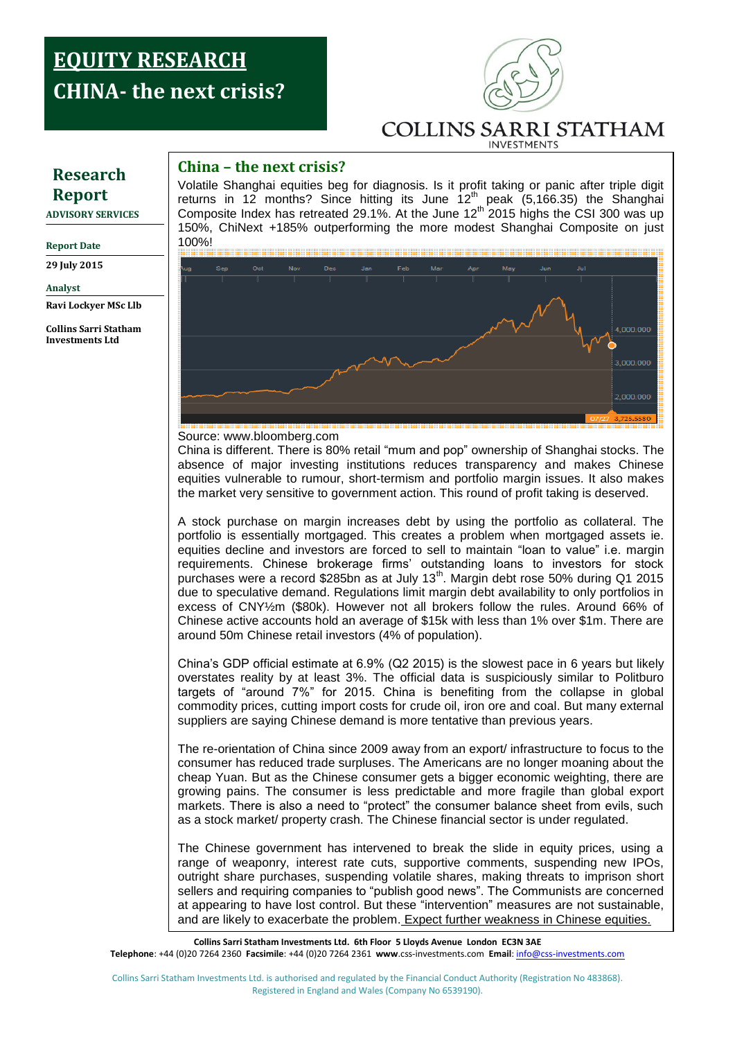### **CHINA-** the next crisis? **Report: EQUITY RESEARCH**



# **China – the next crisis?**

Volatile Shanghai equities beg for diagnosis. Is it profit taking or panic after triple digit returns in 12 months? Since hitting its June  $12<sup>th</sup>$  peak (5,166.35) the Shanghai Composite Index has retreated 29.1%. At the June  $12<sup>th</sup>$  2015 highs the CSI 300 was up 150%, ChiNext +185% outperforming the more modest Shanghai Composite on just 100%!



Source: www.bloomberg.com

China is different. There is 80% retail "mum and pop" ownership of Shanghai stocks. The absence of major investing institutions reduces transparency and makes Chinese equities vulnerable to rumour, short-termism and portfolio margin issues. It also makes the market very sensitive to government action. This round of profit taking is deserved.

portrollo is essentially mortgaged. This creates a problem when mortgaged assets le.<br>equities decline and investors are forced to sell to maintain "loan to value" i.e. margin requirements. Chinese brokerage firms' outstanding loans to investors for stock A stock purchase on margin increases debt by using the portfolio as collateral. The portfolio is essentially mortgaged. This creates a problem when mortgaged assets ie. purchases were a record \$285bn as at July 13<sup>th</sup>. Margin debt rose 50% during Q1 2015 due to speculative demand. Regulations limit margin debt availability to only portfolios in excess of CNY½m (\$80k). However not all brokers follow the rules. Around 66% of Chinese active accounts hold an average of \$15k with less than 1% over \$1m. There are around 50m Chinese retail investors (4% of population).

China's GDP official estimate at 6.9% (Q2 2015) is the slowest pace in 6 years but likely overstates reality by at least 3%. The official data is suspiciously similar to Politburo targets of "around 7%" for 2015. China is benefiting from the collapse in global commodity prices, cutting import costs for crude oil, iron ore and coal. But many external suppliers are saying Chinese demand is more tentative than previous years.

The re-orientation of China since 2009 away from an export/ infrastructure to focus to the consumer has reduced trade surpluses. The Americans are no longer moaning about the cheap Yuan. But as the Chinese consumer gets a bigger economic weighting, there are growing pains. The consumer is less predictable and more fragile than global export markets. There is also a need to "protect" the consumer balance sheet from evils, such as a stock market/ property crash. The Chinese financial sector is under regulated.

The Chinese government has intervened to break the slide in equity prices, using a range of weaponry, interest rate cuts, supportive comments, suspending new IPOs, outright share purchases, suspending volatile shares, making threats to imprison short sellers and requiring companies to "publish good news". The Communists are concerned at appearing to have lost control. But these "intervention" measures are not sustainable, and are likely to exacerbate the problem. Expect further weakness in Chinese equities.

**Collins Sarri Statham Investments Ltd. 6th Floor 5 Lloyds Avenue London EC3N 3AE Telephone**: +44 (0)20 7264 2360 **Facsimile**: +44 (0)20 7264 2361 **www**.css-investments.com **Email**[: info@css-investments.com](mailto:info@css-investments.com)

Collins Sarri Statham Investments Ltd. is authorised and regulated by the Financial Conduct Authority (Registration No 483868). Registered in England and Wales (Company No 6539190).

## **Research Report**

**ADVISORY SERVICES**

#### **Report Date**

**29 July 2015**

**Analyst** 

**Ravi Lockyer MSc Llb**

**Collins Sarri Statham Investments Ltd**